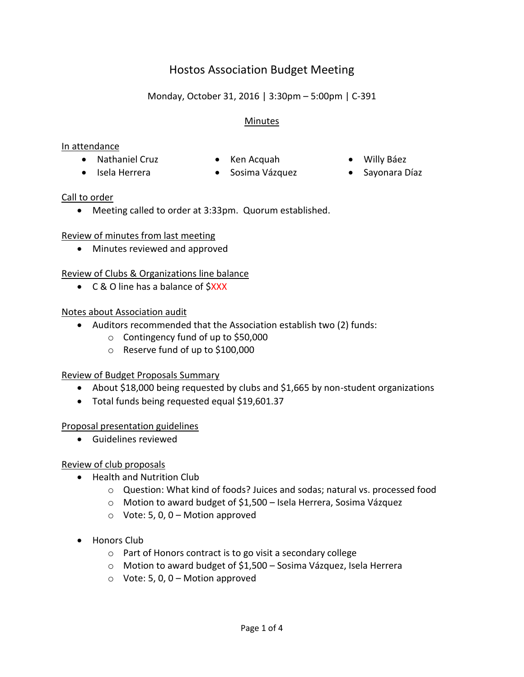# Hostos Association Budget Meeting

Monday, October 31, 2016 | 3:30pm – 5:00pm | C-391

# **Minutes**

#### In attendance

- Nathaniel Cruz Ken Acquah Willy Báez
	-
	-
- 
- 
- Isela Herrera Sosima Vázquez Sayonara Díaz

#### Call to order

Meeting called to order at 3:33pm. Quorum established.

# Review of minutes from last meeting

Minutes reviewed and approved

# Review of Clubs & Organizations line balance

• C & O line has a balance of SXXX

# Notes about Association audit

- Auditors recommended that the Association establish two (2) funds:
	- o Contingency fund of up to \$50,000
	- o Reserve fund of up to \$100,000

# Review of Budget Proposals Summary

- About \$18,000 being requested by clubs and \$1,665 by non-student organizations
- Total funds being requested equal \$19,601.37

# Proposal presentation guidelines

Guidelines reviewed

# Review of club proposals

- Health and Nutrition Club
	- o Question: What kind of foods? Juices and sodas; natural vs. processed food
	- o Motion to award budget of \$1,500 Isela Herrera, Sosima Vázquez
	- $\circ$  Vote: 5, 0, 0 Motion approved
- Honors Club
	- o Part of Honors contract is to go visit a secondary college
	- o Motion to award budget of \$1,500 Sosima Vázquez, Isela Herrera
	- $\circ$  Vote: 5, 0, 0 Motion approved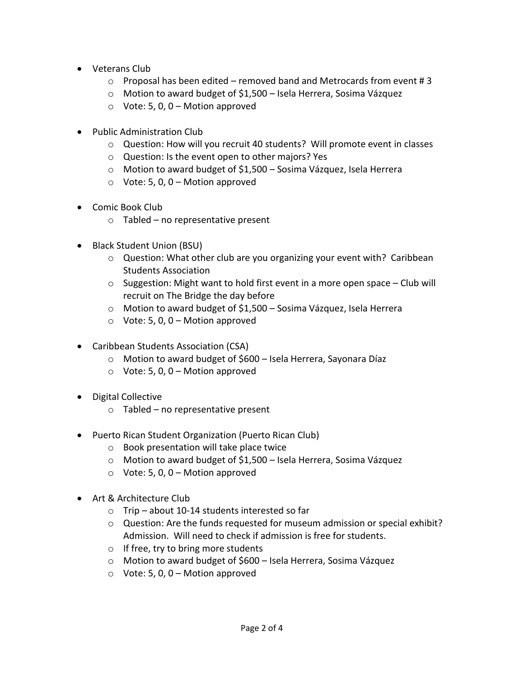- Veterans Club
	- $\circ$  Proposal has been edited removed band and Metrocards from event #3
	- o Motion to award budget of \$1,500 Isela Herrera, Sosima Vázquez
	- $\circ$  Vote: 5, 0, 0 Motion approved
- Public Administration Club
	- o Question: How will you recruit 40 students? Will promote event in classes
	- o Question: Is the event open to other majors? Yes
	- o Motion to award budget of \$1,500 Sosima Vázquez, Isela Herrera
	- $\circ$  Vote: 5, 0, 0 Motion approved
- Comic Book Club
	- $\circ$  Tabled no representative present
- Black Student Union (BSU)
	- o Question: What other club are you organizing your event with? Caribbean Students Association
	- $\circ$  Suggestion: Might want to hold first event in a more open space Club will recruit on The Bridge the day before
	- o Motion to award budget of \$1,500 Sosima Vázquez, Isela Herrera
	- $\circ$  Vote: 5, 0, 0 Motion approved
- Caribbean Students Association (CSA)
	- o Motion to award budget of \$600 Isela Herrera, Sayonara Díaz
	- $\circ$  Vote: 5, 0, 0 Motion approved
- Digital Collective
	- o Tabled no representative present
- Puerto Rican Student Organization (Puerto Rican Club)
	- o Book presentation will take place twice
	- o Motion to award budget of \$1,500 Isela Herrera, Sosima Vázquez
	- $\circ$  Vote: 5, 0, 0 Motion approved
- Art & Architecture Club
	- o Trip about 10-14 students interested so far
	- $\circ$  Question: Are the funds requested for museum admission or special exhibit? Admission. Will need to check if admission is free for students.
	- o If free, try to bring more students
	- o Motion to award budget of \$600 Isela Herrera, Sosima Vázquez
	- $\circ$  Vote: 5, 0, 0 Motion approved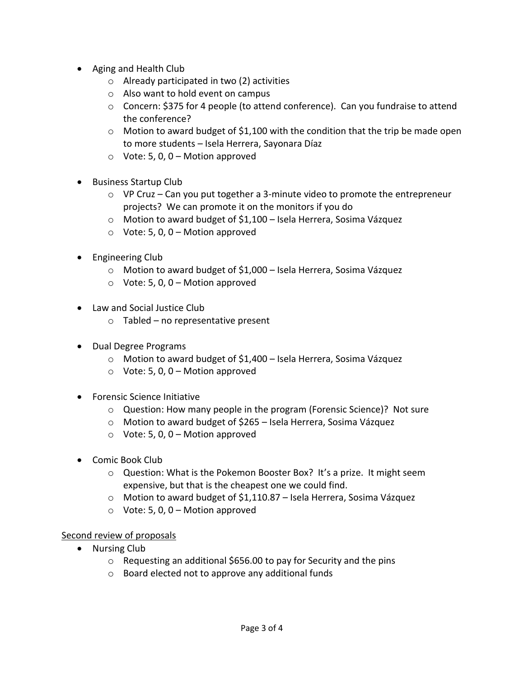- Aging and Health Club
	- o Already participated in two (2) activities
	- o Also want to hold event on campus
	- o Concern: \$375 for 4 people (to attend conference). Can you fundraise to attend the conference?
	- $\circ$  Motion to award budget of \$1,100 with the condition that the trip be made open to more students – Isela Herrera, Sayonara Díaz
	- $\circ$  Vote: 5, 0, 0 Motion approved
- Business Startup Club
	- $\circ$  VP Cruz Can you put together a 3-minute video to promote the entrepreneur projects? We can promote it on the monitors if you do
	- o Motion to award budget of \$1,100 Isela Herrera, Sosima Vázquez
	- $\circ$  Vote: 5, 0, 0 Motion approved
- Engineering Club
	- o Motion to award budget of \$1,000 Isela Herrera, Sosima Vázquez
	- $\circ$  Vote: 5, 0, 0 Motion approved
- Law and Social Justice Club
	- o Tabled no representative present
- Dual Degree Programs
	- o Motion to award budget of \$1,400 Isela Herrera, Sosima Vázquez
	- $\circ$  Vote: 5, 0, 0 Motion approved
- Forensic Science Initiative
	- $\circ$  Question: How many people in the program (Forensic Science)? Not sure
	- o Motion to award budget of \$265 Isela Herrera, Sosima Vázquez
	- $\circ$  Vote: 5, 0, 0 Motion approved
- Comic Book Club
	- o Question: What is the Pokemon Booster Box? It's a prize. It might seem expensive, but that is the cheapest one we could find.
	- o Motion to award budget of \$1,110.87 Isela Herrera, Sosima Vázquez
	- $\circ$  Vote: 5, 0, 0 Motion approved

# Second review of proposals

- Nursing Club
	- $\circ$  Requesting an additional \$656.00 to pay for Security and the pins
	- o Board elected not to approve any additional funds